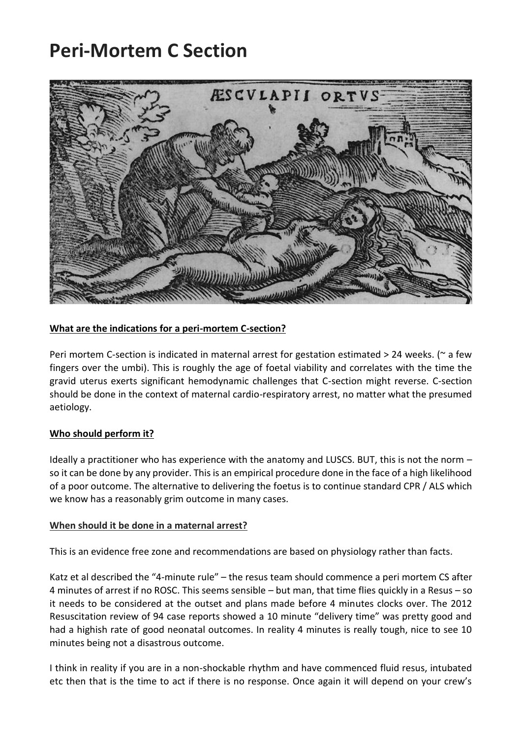# **Peri-Mortem C Section**



## **What are the indications for a peri-mortem C-section?**

Peri mortem C-section is indicated in maternal arrest for gestation estimated  $>$  24 weeks. ( $\sim$  a few fingers over the umbi). This is roughly the age of foetal viability and correlates with the time the gravid uterus exerts significant hemodynamic challenges that C-section might reverse. C-section should be done in the context of maternal cardio-respiratory arrest, no matter what the presumed aetiology.

## **Who should perform it?**

Ideally a practitioner who has experience with the anatomy and LUSCS. BUT, this is not the norm – so it can be done by any provider. This is an empirical procedure done in the face of a high likelihood of a poor outcome. The alternative to delivering the foetus is to continue standard CPR / ALS which we know has a reasonably grim outcome in many cases.

#### **When should it be done in a maternal arrest?**

This is an evidence free zone and recommendations are based on physiology rather than facts.

Katz et al described the "4-minute rule" – the resus team should commence a peri mortem CS after 4 minutes of arrest if no ROSC. This seems sensible – but man, that time flies quickly in a Resus – so it needs to be considered at the outset and plans made before 4 minutes clocks over. The 2012 Resuscitation review of 94 case reports showed a 10 minute "delivery time" was pretty good and had a highish rate of good neonatal outcomes. In reality 4 minutes is really tough, nice to see 10 minutes being not a disastrous outcome.

I think in reality if you are in a non-shockable rhythm and have commenced fluid resus, intubated etc then that is the time to act if there is no response. Once again it will depend on your crew's